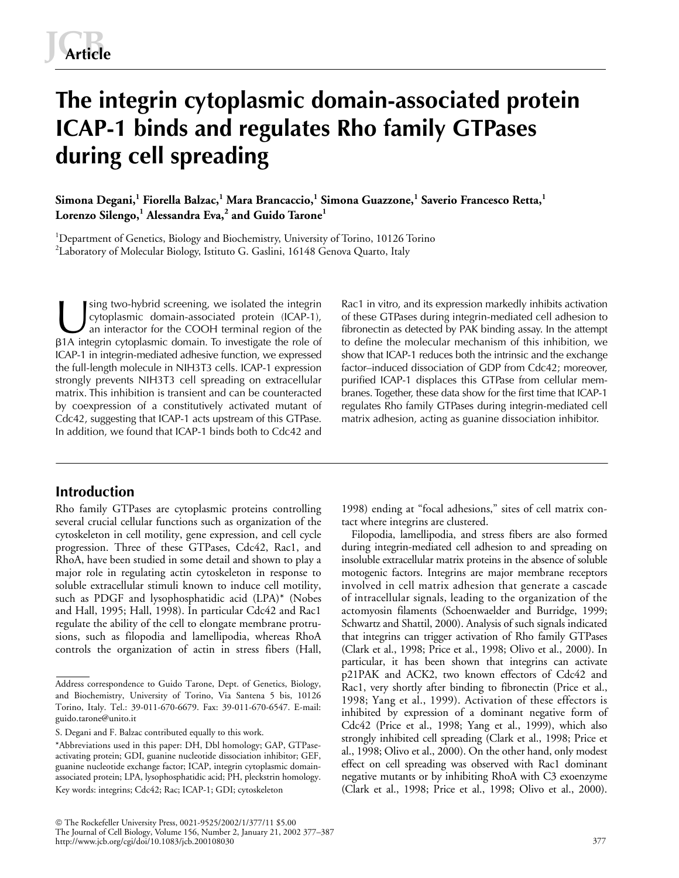# **The integrin cytoplasmic domain-associated protein ICAP-1 binds and regulates Rho family GTPases during cell spreading**

**Simona Degani,<sup>1</sup> Fiorella Balzac,<sup>1</sup> Mara Brancaccio,<sup>1</sup> Simona Guazzone,<sup>1</sup> Saverio Francesco Retta,<sup>1</sup> Lorenzo Silengo,<sup>1</sup> Alessandra Eva,<sup>2</sup> and Guido Tarone<sup>1</sup>**

<sup>1</sup>Department of Genetics, Biology and Biochemistry, University of Torino, 10126 Torino  $^2$ Laboratory of Molecular Biology, Istituto G. Gaslini, 16148 Genova Quarto, Italy

sing two-hybrid screening, we isolated the integrin cytoplasmic domain-associated protein (ICAP-1), an interactor for the COOH terminal region of the -1A integrin cytoplasmic domain. To investigate the role of ICAP-1 in integrin-mediated adhesive function, we expressed the full-length molecule in NIH3T3 cells. ICAP-1 expression strongly prevents NIH3T3 cell spreading on extracellular matrix. This inhibition is transient and can be counteracted by coexpression of a constitutively activated mutant of Cdc42, suggesting that ICAP-1 acts upstream of this GTPase. In addition, we found that ICAP-1 binds both to Cdc42 and Sing two-hybrid screening, we isolated the integrin Rac1 in vitro, and its expression markedly inhibits activation<br>Cytoplasmic domain-associated protein (ICAP-1), of these GTPases during integrin-mediated cell adhesion to<br>

**Introduction**

Rho family GTPases are cytoplasmic proteins controlling several crucial cellular functions such as organization of the cytoskeleton in cell motility, gene expression, and cell cycle progression. Three of these GTPases, Cdc42, Rac1, and RhoA, have been studied in some detail and shown to play a major role in regulating actin cytoskeleton in response to soluble extracellular stimuli known to induce cell motility, such as PDGF and lysophosphatidic acid (LPA)\* (Nobes and Hall, 1995; Hall, 1998). In particular Cdc42 and Rac1 regulate the ability of the cell to elongate membrane protrusions, such as filopodia and lamellipodia, whereas RhoA controls the organization of actin in stress fibers (Hall,

of these GTPases during integrin-mediated cell adhesion to fibronectin as detected by PAK binding assay. In the attempt to define the molecular mechanism of this inhibition, we show that ICAP-1 reduces both the intrinsic and the exchange factor–induced dissociation of GDP from Cdc42; moreover, purified ICAP-1 displaces this GTPase from cellular membranes. Together, these data show for the first time that ICAP-1 regulates Rho family GTPases during integrin-mediated cell matrix adhesion, acting as guanine dissociation inhibitor.

1998) ending at "focal adhesions," sites of cell matrix contact where integrins are clustered.

Filopodia, lamellipodia, and stress fibers are also formed during integrin-mediated cell adhesion to and spreading on insoluble extracellular matrix proteins in the absence of soluble motogenic factors. Integrins are major membrane receptors involved in cell matrix adhesion that generate a cascade of intracellular signals, leading to the organization of the actomyosin filaments (Schoenwaelder and Burridge, 1999; Schwartz and Shattil, 2000). Analysis of such signals indicated that integrins can trigger activation of Rho family GTPases (Clark et al., 1998; Price et al., 1998; Olivo et al., 2000). In particular, it has been shown that integrins can activate p21PAK and ACK2, two known effectors of Cdc42 and Rac1, very shortly after binding to fibronectin (Price et al., 1998; Yang et al., 1999). Activation of these effectors is inhibited by expression of a dominant negative form of Cdc42 (Price et al., 1998; Yang et al., 1999), which also strongly inhibited cell spreading (Clark et al., 1998; Price et al., 1998; Olivo et al., 2000). On the other hand, only modest effect on cell spreading was observed with Rac1 dominant negative mutants or by inhibiting RhoA with C3 exoenzyme (Clark et al., 1998; Price et al., 1998; Olivo et al., 2000).

Address correspondence to Guido Tarone, Dept. of Genetics, Biology, and Biochemistry, University of Torino, Via Santena 5 bis, 10126 Torino, Italy. Tel.: 39-011-670-6679. Fax: 39-011-670-6547. E-mail: guido.tarone@unito.it

S. Degani and F. Balzac contributed equally to this work.

<sup>\*</sup>Abbreviations used in this paper: DH, Dbl homology; GAP, GTPaseactivating protein; GDI, guanine nucleotide dissociation inhibitor; GEF, guanine nucleotide exchange factor; ICAP, integrin cytoplasmic domainassociated protein; LPA, lysophosphatidic acid; PH, pleckstrin homology. Key words: integrins; Cdc42; Rac; ICAP-1; GDI; cytoskeleton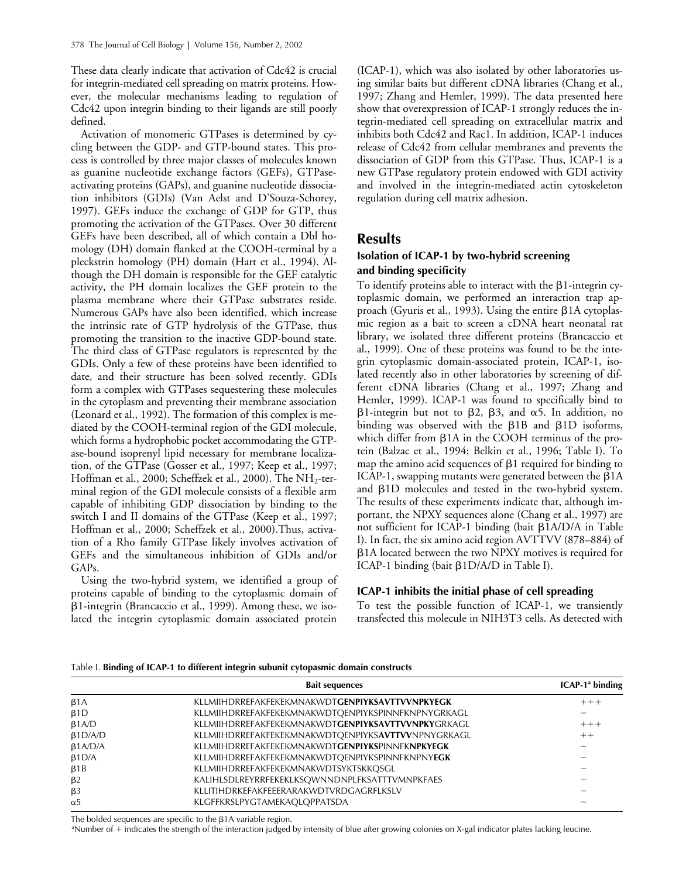These data clearly indicate that activation of Cdc42 is crucial for integrin-mediated cell spreading on matrix proteins. However, the molecular mechanisms leading to regulation of Cdc42 upon integrin binding to their ligands are still poorly defined.

Activation of monomeric GTPases is determined by cycling between the GDP- and GTP-bound states. This process is controlled by three major classes of molecules known as guanine nucleotide exchange factors (GEFs), GTPaseactivating proteins (GAPs), and guanine nucleotide dissociation inhibitors (GDIs) (Van Aelst and D'Souza-Schorey, 1997). GEFs induce the exchange of GDP for GTP, thus promoting the activation of the GTPases. Over 30 different GEFs have been described, all of which contain a Dbl homology (DH) domain flanked at the COOH-terminal by a pleckstrin homology (PH) domain (Hart et al., 1994). Although the DH domain is responsible for the GEF catalytic activity, the PH domain localizes the GEF protein to the plasma membrane where their GTPase substrates reside. Numerous GAPs have also been identified, which increase the intrinsic rate of GTP hydrolysis of the GTPase, thus promoting the transition to the inactive GDP-bound state. The third class of GTPase regulators is represented by the GDIs. Only a few of these proteins have been identified to date, and their structure has been solved recently. GDIs form a complex with GTPases sequestering these molecules in the cytoplasm and preventing their membrane association (Leonard et al., 1992). The formation of this complex is mediated by the COOH-terminal region of the GDI molecule, which forms a hydrophobic pocket accommodating the GTPase-bound isoprenyl lipid necessary for membrane localization, of the GTPase (Gosser et al., 1997; Keep et al., 1997; Hoffman et al., 2000; Scheffzek et al., 2000). The  $NH<sub>2</sub>$ -terminal region of the GDI molecule consists of a flexible arm capable of inhibiting GDP dissociation by binding to the switch I and II domains of the GTPase (Keep et al., 1997; Hoffman et al., 2000; Scheffzek et al., 2000).Thus, activation of a Rho family GTPase likely involves activation of GEFs and the simultaneous inhibition of GDIs and/or GAPs.

Using the two-hybrid system, we identified a group of proteins capable of binding to the cytoplasmic domain of -1-integrin (Brancaccio et al., 1999). Among these, we isolated the integrin cytoplasmic domain associated protein

(ICAP-1), which was also isolated by other laboratories using similar baits but different cDNA libraries (Chang et al., 1997; Zhang and Hemler, 1999). The data presented here show that overexpression of ICAP-1 strongly reduces the integrin-mediated cell spreading on extracellular matrix and inhibits both Cdc42 and Rac1. In addition, ICAP-1 induces release of Cdc42 from cellular membranes and prevents the dissociation of GDP from this GTPase. Thus, ICAP-1 is a new GTPase regulatory protein endowed with GDI activity and involved in the integrin-mediated actin cytoskeleton regulation during cell matrix adhesion.

# **Results**

# **Isolation of ICAP-1 by two-hybrid screening and binding specificity**

To identify proteins able to interact with the  $\beta$ 1-integrin cytoplasmic domain, we performed an interaction trap approach (Gyuris et al., 1993). Using the entire  $\beta$ 1A cytoplasmic region as a bait to screen a cDNA heart neonatal rat library, we isolated three different proteins (Brancaccio et al., 1999). One of these proteins was found to be the integrin cytoplasmic domain-associated protein, ICAP-1, isolated recently also in other laboratories by screening of different cDNA libraries (Chang et al., 1997; Zhang and Hemler, 1999). ICAP-1 was found to specifically bind to  $\beta$ 1-integrin but not to  $\beta$ 2,  $\beta$ 3, and  $\alpha$ 5. In addition, no binding was observed with the  $\beta$ 1B and  $\beta$ 1D isoforms, which differ from  $\beta$ 1A in the COOH terminus of the protein (Balzac et al., 1994; Belkin et al., 1996; Table I). To map the amino acid sequences of  $\beta$ 1 required for binding to ICAP-1, swapping mutants were generated between the  $\beta$ 1A and  $\beta$ 1D molecules and tested in the two-hybrid system. The results of these experiments indicate that, although important, the NPXY sequences alone (Chang et al., 1997) are not sufficient for ICAP-1 binding (bait  $\beta$ 1A/D/A in Table I). In fact, the six amino acid region AVTTVV (878–884) of -1A located between the two NPXY motives is required for ICAP-1 binding (bait  $\beta 1D/A/D$  in Table I).

# **ICAP-1 inhibits the initial phase of cell spreading**

To test the possible function of ICAP-1, we transiently transfected this molecule in NIH3T3 cells. As detected with

## Table I. **Binding of ICAP-1 to different integrin subunit cytopasmic domain constructs**

|                 | <b>Bait sequences</b>                                      | $ICAP-1a binding$ |
|-----------------|------------------------------------------------------------|-------------------|
| $\beta$ 1A      | <b>KLLMIIHDRREFAKFEKEKMNAKWDTGENPIYKSAVTTVVNPKYEGK</b>     | $+ + +$           |
| $\beta$ 1D      | KLLMIIHDRREFAKFEKEKMNAKWDTOENPIYKSPINNFKNPNYGRKAGL         |                   |
| $\beta$ 1A/D    | <b>KLLMIIHDRREFAKFEKEKMNAKWDTGENPIYKSAVTTVVNPKY</b> GRKAGL | $+ + +$           |
| $\beta1D/A/D$   | KLLMIIHDRREFAKFEKEKMNAKWDTQENPIYKSAVTTVVNPNYGRKAGL         | $++$              |
| $\beta 1 A/D/A$ | <b>KLLMIIHDRREFAKFEKEKMNAKWDTGENPIYKSPINNFKNPKYEGK</b>     |                   |
| B1D/A           | <b>KLLMIIHDRREFAKFEKEKMNAKWDTOENPIYKSPINNFKNPNYEGK</b>     |                   |
| $\beta$ 1B      | KLLMIIHDRREFAKFEKEKMNAKWDTSYKTSKKOSGL                      |                   |
| $\beta$ 2       | KALIHLSDLREYRRFEKEKLKSQWNNDNPLFKSATTTVMNPKFAES             |                   |
| $\beta$ 3       | KLLITIHDRKEFAKFEEERARAKWDTVRDGAGRFLKSLV                    |                   |
| $\alpha$ 5      | KLGFFKRSLPYGTAMEKAOLOPPATSDA                               |                   |

The bolded sequences are specific to the  $\beta$ 1A variable region.

<sup>a</sup>Number of + indicates the strength of the interaction judged by intensity of blue after growing colonies on X-gal indicator plates lacking leucine.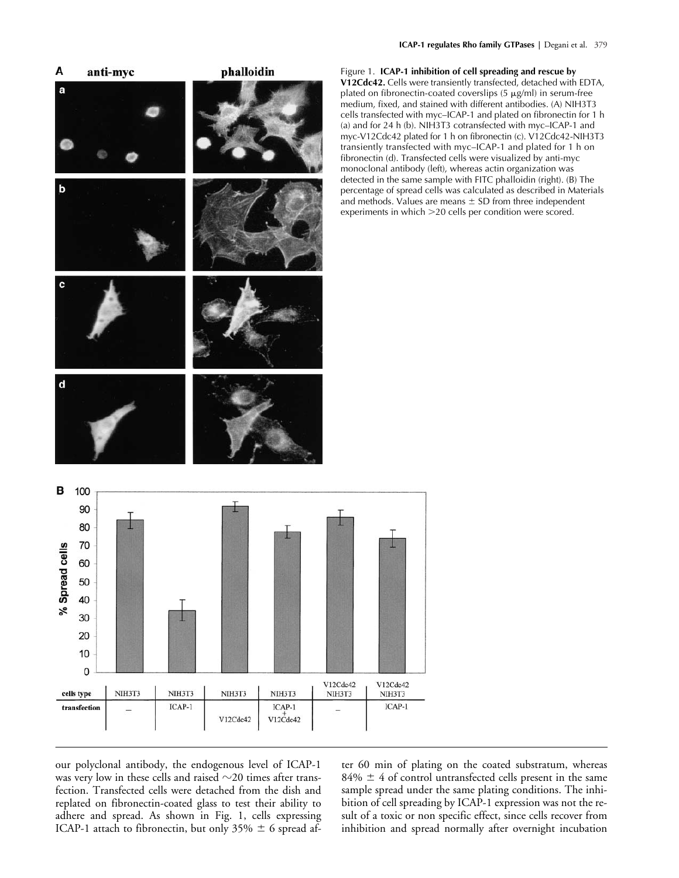

Figure 1. **ICAP-1 inhibition of cell spreading and rescue by V12Cdc42.** Cells were transiently transfected, detached with EDTA, plated on fibronectin-coated coverslips  $(5 \mu g/ml)$  in serum-free medium, fixed, and stained with different antibodies. (A) NIH3T3 cells transfected with myc–ICAP-1 and plated on fibronectin for 1 h (a) and for 24 h (b). NIH3T3 cotransfected with myc–ICAP-1 and myc-V12Cdc42 plated for 1 h on fibronectin (c). V12Cdc42-NIH3T3 transiently transfected with myc–ICAP-1 and plated for 1 h on fibronectin (d). Transfected cells were visualized by anti-myc monoclonal antibody (left), whereas actin organization was detected in the same sample with FITC phalloidin (right). (B) The percentage of spread cells was calculated as described in Materials and methods. Values are means  $\pm$  SD from three independent experiments in which 20 cells per condition were scored.

our polyclonal antibody, the endogenous level of ICAP-1 was very low in these cells and raised  $\sim$ 20 times after transfection. Transfected cells were detached from the dish and replated on fibronectin-coated glass to test their ability to adhere and spread. As shown in Fig. 1, cells expressing ICAP-1 attach to fibronectin, but only 35%  $\pm$  6 spread after 60 min of plating on the coated substratum, whereas  $84\% \pm 4$  of control untransfected cells present in the same sample spread under the same plating conditions. The inhibition of cell spreading by ICAP-1 expression was not the result of a toxic or non specific effect, since cells recover from inhibition and spread normally after overnight incubation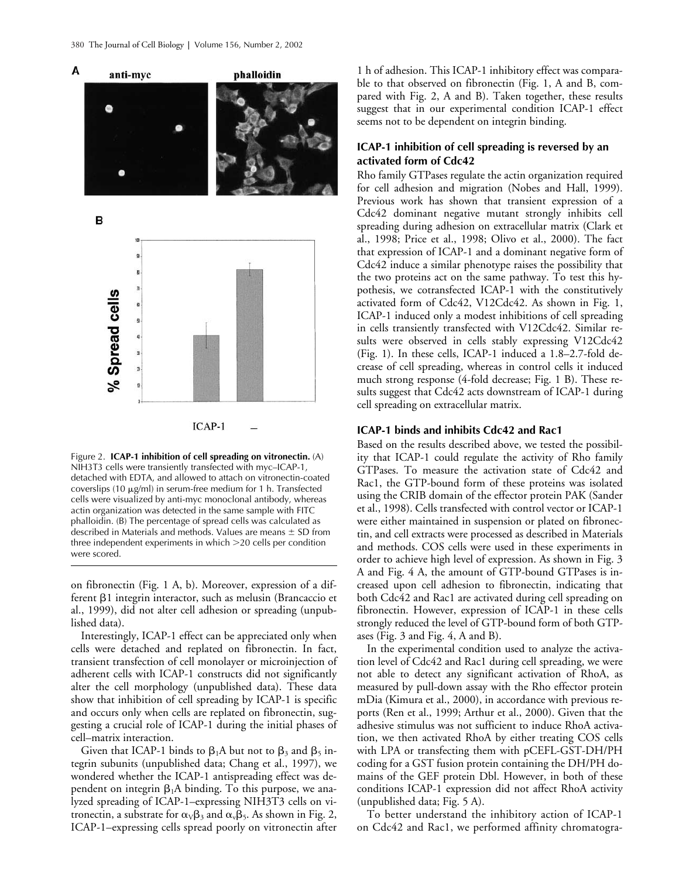

Figure 2. **ICAP-1 inhibition of cell spreading on vitronectin.** (A) NIH3T3 cells were transiently transfected with myc–ICAP-1, detached with EDTA, and allowed to attach on vitronectin-coated coverslips (10  $\mu$ g/ml) in serum-free medium for 1 h. Transfected cells were visualized by anti-myc monoclonal antibody, whereas actin organization was detected in the same sample with FITC phalloidin. (B) The percentage of spread cells was calculated as described in Materials and methods. Values are means  $\pm$  SD from three independent experiments in which 20 cells per condition were scored.

on fibronectin (Fig. 1 A, b). Moreover, expression of a different  $\beta$ 1 integrin interactor, such as melusin (Brancaccio et al., 1999), did not alter cell adhesion or spreading (unpublished data).

Interestingly, ICAP-1 effect can be appreciated only when cells were detached and replated on fibronectin. In fact, transient transfection of cell monolayer or microinjection of adherent cells with ICAP-1 constructs did not significantly alter the cell morphology (unpublished data). These data show that inhibition of cell spreading by ICAP-1 is specific and occurs only when cells are replated on fibronectin, suggesting a crucial role of ICAP-1 during the initial phases of cell–matrix interaction.

Given that ICAP-1 binds to  $\beta_1A$  but not to  $\beta_3$  and  $\beta_5$  integrin subunits (unpublished data; Chang et al., 1997), we wondered whether the ICAP-1 antispreading effect was dependent on integrin  $\beta_1 A$  binding. To this purpose, we analyzed spreading of ICAP-1–expressing NIH3T3 cells on vitronectin, a substrate for  $\alpha_V\beta_3$  and  $\alpha_v\beta_5$ . As shown in Fig. 2, ICAP-1–expressing cells spread poorly on vitronectin after 1 h of adhesion. This ICAP-1 inhibitory effect was comparable to that observed on fibronectin (Fig. 1, A and B, compared with Fig. 2, A and B). Taken together, these results suggest that in our experimental condition ICAP-1 effect seems not to be dependent on integrin binding.

# **ICAP-1 inhibition of cell spreading is reversed by an activated form of Cdc42**

Rho family GTPases regulate the actin organization required for cell adhesion and migration (Nobes and Hall, 1999). Previous work has shown that transient expression of a Cdc42 dominant negative mutant strongly inhibits cell spreading during adhesion on extracellular matrix (Clark et al., 1998; Price et al., 1998; Olivo et al., 2000). The fact that expression of ICAP-1 and a dominant negative form of Cdc42 induce a similar phenotype raises the possibility that the two proteins act on the same pathway. To test this hypothesis, we cotransfected ICAP-1 with the constitutively activated form of Cdc42, V12Cdc42. As shown in Fig. 1, ICAP-1 induced only a modest inhibitions of cell spreading in cells transiently transfected with V12Cdc42. Similar results were observed in cells stably expressing V12Cdc42 (Fig. 1). In these cells, ICAP-1 induced a 1.8–2.7-fold decrease of cell spreading, whereas in control cells it induced much strong response (4-fold decrease; Fig. 1 B). These results suggest that Cdc42 acts downstream of ICAP-1 during cell spreading on extracellular matrix.

## **ICAP-1 binds and inhibits Cdc42 and Rac1**

Based on the results described above, we tested the possibility that ICAP-1 could regulate the activity of Rho family GTPases. To measure the activation state of Cdc42 and Rac1, the GTP-bound form of these proteins was isolated using the CRIB domain of the effector protein PAK (Sander et al., 1998). Cells transfected with control vector or ICAP-1 were either maintained in suspension or plated on fibronectin, and cell extracts were processed as described in Materials and methods. COS cells were used in these experiments in order to achieve high level of expression. As shown in Fig. 3 A and Fig. 4 A, the amount of GTP-bound GTPases is increased upon cell adhesion to fibronectin, indicating that both Cdc42 and Rac1 are activated during cell spreading on fibronectin. However, expression of ICAP-1 in these cells strongly reduced the level of GTP-bound form of both GTPases (Fig. 3 and Fig. 4, A and B).

In the experimental condition used to analyze the activation level of Cdc42 and Rac1 during cell spreading, we were not able to detect any significant activation of RhoA, as measured by pull-down assay with the Rho effector protein mDia (Kimura et al., 2000), in accordance with previous reports (Ren et al., 1999; Arthur et al., 2000). Given that the adhesive stimulus was not sufficient to induce RhoA activation, we then activated RhoA by either treating COS cells with LPA or transfecting them with pCEFL-GST-DH/PH coding for a GST fusion protein containing the DH/PH domains of the GEF protein Dbl. However, in both of these conditions ICAP-1 expression did not affect RhoA activity (unpublished data; Fig. 5 A).

To better understand the inhibitory action of ICAP-1 on Cdc42 and Rac1, we performed affinity chromatogra-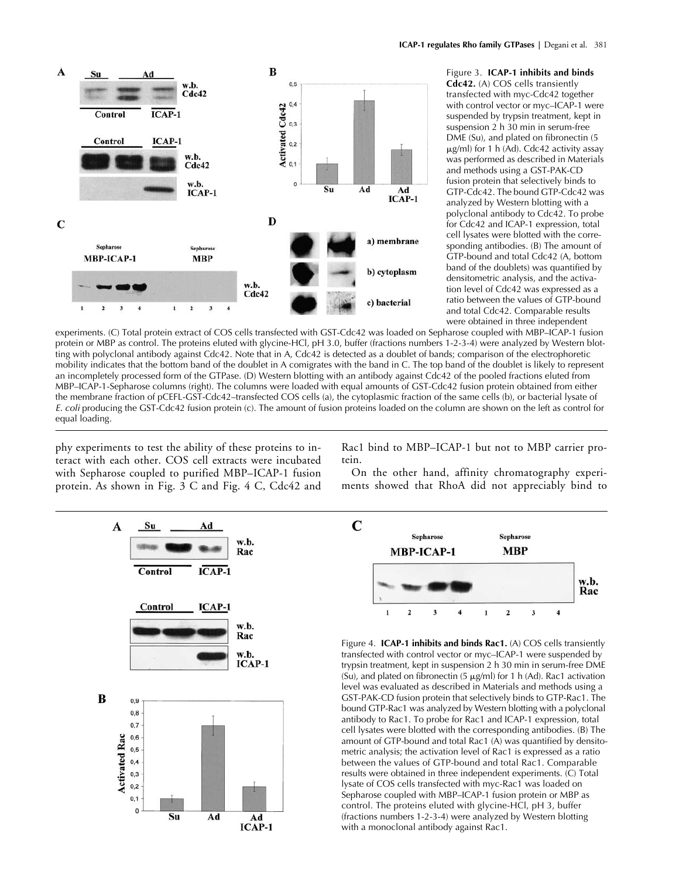

Figure 3. **ICAP-1 inhibits and binds Cdc42.** (A) COS cells transiently transfected with myc-Cdc42 together with control vector or myc–ICAP-1 were suspended by trypsin treatment, kept in suspension 2 h 30 min in serum-free DME (Su), and plated on fibronectin (5  $\mu$ g/ml) for 1 h (Ad). Cdc42 activity assay was performed as described in Materials and methods using a GST-PAK-CD fusion protein that selectively binds to GTP-Cdc42. The bound GTP-Cdc42 was analyzed by Western blotting with a polyclonal antibody to Cdc42. To probe for Cdc42 and ICAP-1 expression, total cell lysates were blotted with the corresponding antibodies. (B) The amount of GTP-bound and total Cdc42 (A, bottom band of the doublets) was quantified by densitometric analysis, and the activation level of Cdc42 was expressed as a ratio between the values of GTP-bound and total Cdc42. Comparable results were obtained in three independent

experiments. (C) Total protein extract of COS cells transfected with GST-Cdc42 was loaded on Sepharose coupled with MBP–ICAP-1 fusion protein or MBP as control. The proteins eluted with glycine-HCl, pH 3.0, buffer (fractions numbers 1-2-3-4) were analyzed by Western blotting with polyclonal antibody against Cdc42. Note that in A, Cdc42 is detected as a doublet of bands; comparison of the electrophoretic mobility indicates that the bottom band of the doublet in A comigrates with the band in C. The top band of the doublet is likely to represent an incompletely processed form of the GTPase. (D) Western blotting with an antibody against Cdc42 of the pooled fractions eluted from MBP–ICAP-1-Sepharose columns (right). The columns were loaded with equal amounts of GST-Cdc42 fusion protein obtained from either the membrane fraction of pCEFL-GST-Cdc42–transfected COS cells (a), the cytoplasmic fraction of the same cells (b), or bacterial lysate of *E. coli* producing the GST-Cdc42 fusion protein (c). The amount of fusion proteins loaded on the column are shown on the left as control for equal loading.

phy experiments to test the ability of these proteins to interact with each other. COS cell extracts were incubated with Sepharose coupled to purified MBP–ICAP-1 fusion protein. As shown in Fig. 3 C and Fig. 4 C, Cdc42 and Rac1 bind to MBP–ICAP-1 but not to MBP carrier protein.

On the other hand, affinity chromatography experiments showed that RhoA did not appreciably bind to





Figure 4. **ICAP-1 inhibits and binds Rac1.** (A) COS cells transiently transfected with control vector or myc–ICAP-1 were suspended by trypsin treatment, kept in suspension 2 h 30 min in serum-free DME (Su), and plated on fibronectin (5  $\mu$ g/ml) for 1 h (Ad). Rac1 activation level was evaluated as described in Materials and methods using a GST-PAK-CD fusion protein that selectively binds to GTP-Rac1. The bound GTP-Rac1 was analyzed by Western blotting with a polyclonal antibody to Rac1. To probe for Rac1 and ICAP-1 expression, total cell lysates were blotted with the corresponding antibodies. (B) The amount of GTP-bound and total Rac1 (A) was quantified by densitometric analysis; the activation level of Rac1 is expressed as a ratio between the values of GTP-bound and total Rac1. Comparable results were obtained in three independent experiments. (C) Total lysate of COS cells transfected with myc-Rac1 was loaded on Sepharose coupled with MBP–ICAP-1 fusion protein or MBP as control. The proteins eluted with glycine-HCl, pH 3, buffer (fractions numbers 1-2-3-4) were analyzed by Western blotting with a monoclonal antibody against Rac1.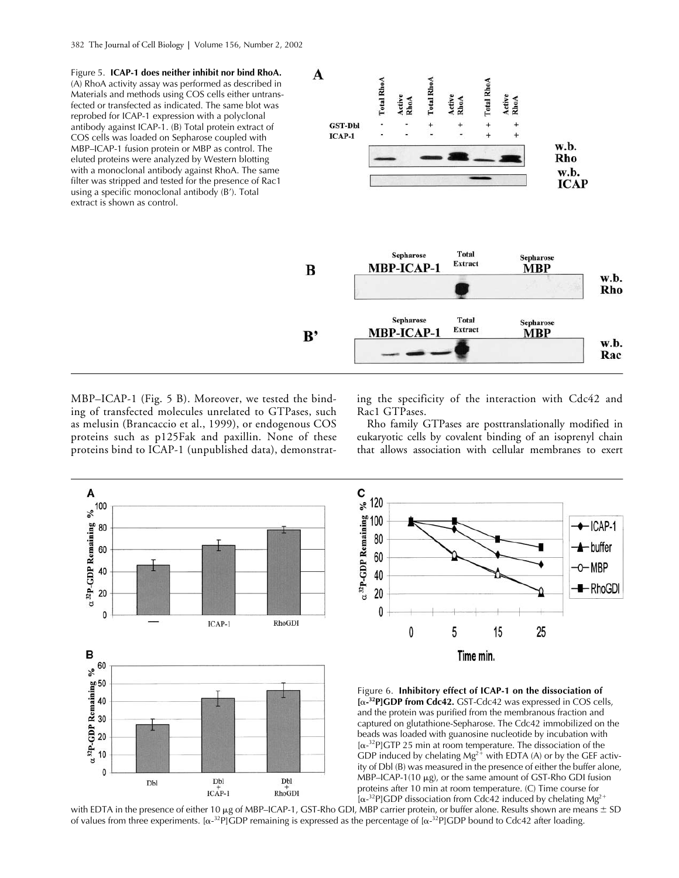Figure 5. **ICAP-1 does neither inhibit nor bind RhoA.** (A) RhoA activity assay was performed as described in Materials and methods using COS cells either untransfected or transfected as indicated. The same blot was reprobed for ICAP-1 expression with a polyclonal antibody against ICAP-1. (B) Total protein extract of COS cells was loaded on Sepharose coupled with MBP–ICAP-1 fusion protein or MBP as control. The eluted proteins were analyzed by Western blotting with a monoclonal antibody against RhoA. The same filter was stripped and tested for the presence of Rac1 using a specific monoclonal antibody (B'). Total extract is shown as control.



MBP–ICAP-1 (Fig. 5 B). Moreover, we tested the binding of transfected molecules unrelated to GTPases, such as melusin (Brancaccio et al., 1999), or endogenous COS proteins such as p125Fak and paxillin. None of these proteins bind to ICAP-1 (unpublished data), demonstrating the specificity of the interaction with Cdc42 and Rac1 GTPases.

Rho family GTPases are posttranslationally modified in eukaryotic cells by covalent binding of an isoprenyl chain that allows association with cellular membranes to exert



with EDTA in the presence of either 10  $\mu$ g of MBP–ICAP-1, GST-Rho GDI, MBP carrier protein, or buffer alone. Results shown are means  $\pm$  SD of values from three experiments. [ $\alpha^{-32}P$ ]GDP remaining is expressed as the percentage of [ $\alpha^{-32}P$ ]GDP bound to Cdc42 after loading.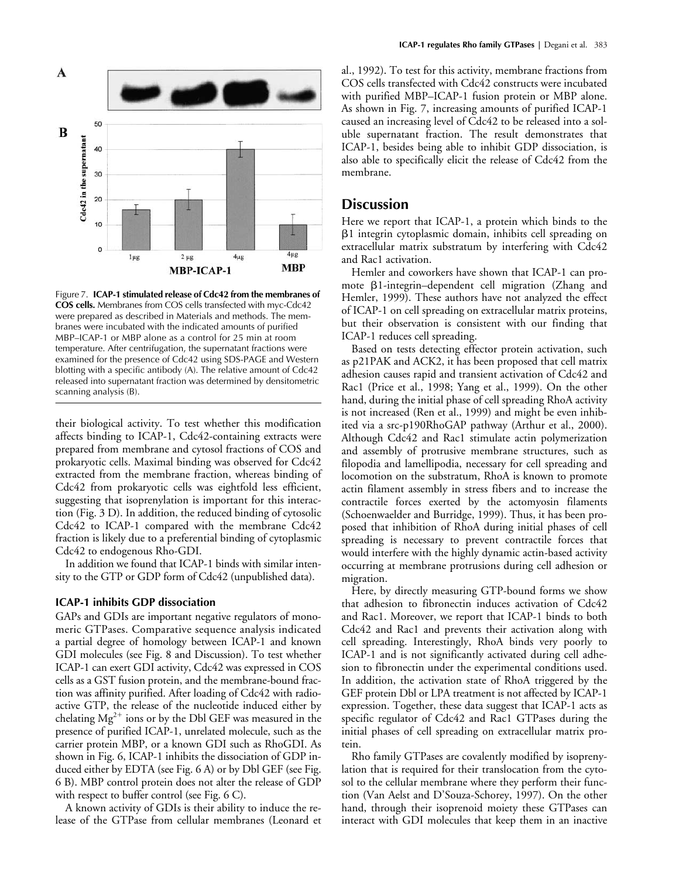

Figure 7. **ICAP-1 stimulated release of Cdc42 from the membranes of COS cells.** Membranes from COS cells transfected with myc-Cdc42 were prepared as described in Materials and methods. The membranes were incubated with the indicated amounts of purified MBP–ICAP-1 or MBP alone as a control for 25 min at room temperature. After centrifugation, the supernatant fractions were examined for the presence of Cdc42 using SDS-PAGE and Western blotting with a specific antibody (A). The relative amount of Cdc42 released into supernatant fraction was determined by densitometric scanning analysis (B).

their biological activity. To test whether this modification affects binding to ICAP-1, Cdc42-containing extracts were prepared from membrane and cytosol fractions of COS and prokaryotic cells. Maximal binding was observed for Cdc42 extracted from the membrane fraction, whereas binding of Cdc42 from prokaryotic cells was eightfold less efficient, suggesting that isoprenylation is important for this interaction (Fig. 3 D). In addition, the reduced binding of cytosolic Cdc42 to ICAP-1 compared with the membrane Cdc42 fraction is likely due to a preferential binding of cytoplasmic Cdc42 to endogenous Rho-GDI.

In addition we found that ICAP-1 binds with similar intensity to the GTP or GDP form of Cdc42 (unpublished data).

## **ICAP-1 inhibits GDP dissociation**

GAPs and GDIs are important negative regulators of monomeric GTPases. Comparative sequence analysis indicated a partial degree of homology between ICAP-1 and known GDI molecules (see Fig. 8 and Discussion). To test whether ICAP-1 can exert GDI activity, Cdc42 was expressed in COS cells as a GST fusion protein, and the membrane-bound fraction was affinity purified. After loading of Cdc42 with radioactive GTP, the release of the nucleotide induced either by chelating  $Mg^{2+}$  ions or by the Dbl GEF was measured in the presence of purified ICAP-1, unrelated molecule, such as the carrier protein MBP, or a known GDI such as RhoGDI. As shown in Fig. 6, ICAP-1 inhibits the dissociation of GDP induced either by EDTA (see Fig. 6 A) or by Dbl GEF (see Fig. 6 B). MBP control protein does not alter the release of GDP with respect to buffer control (see Fig. 6 C).

A known activity of GDIs is their ability to induce the release of the GTPase from cellular membranes (Leonard et al., 1992). To test for this activity, membrane fractions from COS cells transfected with Cdc42 constructs were incubated with purified MBP–ICAP-1 fusion protein or MBP alone. As shown in Fig. 7, increasing amounts of purified ICAP-1 caused an increasing level of Cdc42 to be released into a soluble supernatant fraction. The result demonstrates that ICAP-1, besides being able to inhibit GDP dissociation, is also able to specifically elicit the release of Cdc42 from the membrane.

# **Discussion**

Here we report that ICAP-1, a protein which binds to the -1 integrin cytoplasmic domain, inhibits cell spreading on extracellular matrix substratum by interfering with Cdc42 and Rac1 activation.

Hemler and coworkers have shown that ICAP-1 can promote  $\beta$ 1-integrin–dependent cell migration (Zhang and Hemler, 1999). These authors have not analyzed the effect of ICAP-1 on cell spreading on extracellular matrix proteins, but their observation is consistent with our finding that ICAP-1 reduces cell spreading.

Based on tests detecting effector protein activation, such as p21PAK and ACK2, it has been proposed that cell matrix adhesion causes rapid and transient activation of Cdc42 and Rac1 (Price et al., 1998; Yang et al., 1999). On the other hand, during the initial phase of cell spreading RhoA activity is not increased (Ren et al., 1999) and might be even inhibited via a src-p190RhoGAP pathway (Arthur et al., 2000). Although Cdc42 and Rac1 stimulate actin polymerization and assembly of protrusive membrane structures, such as filopodia and lamellipodia, necessary for cell spreading and locomotion on the substratum, RhoA is known to promote actin filament assembly in stress fibers and to increase the contractile forces exerted by the actomyosin filaments (Schoenwaelder and Burridge, 1999). Thus, it has been proposed that inhibition of RhoA during initial phases of cell spreading is necessary to prevent contractile forces that would interfere with the highly dynamic actin-based activity occurring at membrane protrusions during cell adhesion or migration.

Here, by directly measuring GTP-bound forms we show that adhesion to fibronectin induces activation of Cdc42 and Rac1. Moreover, we report that ICAP-1 binds to both Cdc42 and Rac1 and prevents their activation along with cell spreading. Interestingly, RhoA binds very poorly to ICAP-1 and is not significantly activated during cell adhesion to fibronectin under the experimental conditions used. In addition, the activation state of RhoA triggered by the GEF protein Dbl or LPA treatment is not affected by ICAP-1 expression. Together, these data suggest that ICAP-1 acts as specific regulator of Cdc42 and Rac1 GTPases during the initial phases of cell spreading on extracellular matrix protein.

Rho family GTPases are covalently modified by isoprenylation that is required for their translocation from the cytosol to the cellular membrane where they perform their function (Van Aelst and D'Souza-Schorey, 1997). On the other hand, through their isoprenoid moiety these GTPases can interact with GDI molecules that keep them in an inactive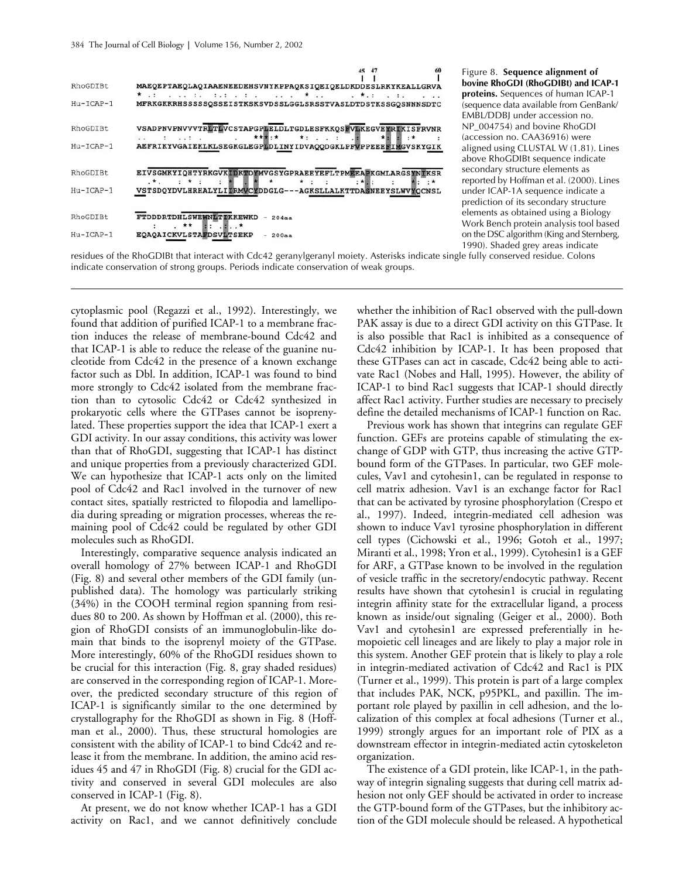|             | 60<br>45                                                                                                                                      |
|-------------|-----------------------------------------------------------------------------------------------------------------------------------------------|
| RhoGDIBt    | MAEQEPTAEQLAQIAAENEEDEHSVNYKPPAQKSIQEIQELDKDDESLRKYKEALLGRVA                                                                                  |
|             | $\cdot$ $\cdot$ :                                                                                                                             |
| $Hu-ICAP-1$ | MFRKGKKRHSSSSSQSSEISTKSKSVDSSLGGLSRSSTVASLDTDSTKSSGQSNNNSDTC                                                                                  |
| RhoGDIBt.   | VSADPNVPNVVVTRLTLVCSTAPGPLELDLTGDLESFKKOSFVLKEGVEYRIKISFRVNR                                                                                  |
|             | *****<br>$*$ : $*$<br>$\cdots$ .                                                                                                              |
| $Hu-ICAP-1$ | AEFRIKYVGAIEKLKLSEGKGLEGPLDLINYIDVAQQDGKLPFWPPEEEFIMGVSKYGIK                                                                                  |
| RhoGDIBt    | EIVSGMKYIQHTYRKGVKIDKTDYMVGSYGPRAEEYEFLTPMEEAPKGMLARGSYNDKSR<br>$\mathbf{r}^*$ , and $\mathbf{r}^*$ , and $\mathbf{r}^*$<br>・大国・<br>$\cdot$ * |
| $Hu-TCAP-1$ | $\cdot$ :<br>VSTSDOYDVLHRHALYLIIRMVCYDDGLG---AGKSLLALKTTDASNEEYSLWVYOCNSL                                                                     |
| RhoGDIBt    | FTDDDRTDHLSWEWNLTEKKEWKD - 204aa                                                                                                              |
| $Hu-ICAP-1$ | EQAQAICKVLSTAFDSVLTSEKP<br>$-200aa$                                                                                                           |

Figure 8. **Sequence alignment of bovine RhoGDI (RhoGDIBt) and ICAP-1 proteins.** Sequences of human ICAP-1 (sequence data available from GenBank/ EMBL/DDBJ under accession no. NP\_004754) and bovine RhoGDI (accession no. CAA36916) were aligned using CLUSTAL W (1.81). Lines above RhoGDIBt sequence indicate secondary structure elements as reported by Hoffman et al. (2000). Lines under ICAP-1A sequence indicate a prediction of its secondary structure elements as obtained using a Biology Work Bench protein analysis tool based on the DSC algorithm (King and Sternberg, 1990). Shaded grey areas indicate

residues of the RhoGDIBt that interact with Cdc42 geranylgeranyl moiety. Asterisks indicate single fully conserved residue. Colons indicate conservation of strong groups. Periods indicate conservation of weak groups.

cytoplasmic pool (Regazzi et al., 1992). Interestingly, we found that addition of purified ICAP-1 to a membrane fraction induces the release of membrane-bound Cdc42 and that ICAP-1 is able to reduce the release of the guanine nucleotide from Cdc42 in the presence of a known exchange factor such as Dbl. In addition, ICAP-1 was found to bind more strongly to Cdc42 isolated from the membrane fraction than to cytosolic Cdc42 or Cdc42 synthesized in prokaryotic cells where the GTPases cannot be isoprenylated. These properties support the idea that ICAP-1 exert a GDI activity. In our assay conditions, this activity was lower than that of RhoGDI, suggesting that ICAP-1 has distinct and unique properties from a previously characterized GDI. We can hypothesize that ICAP-1 acts only on the limited pool of Cdc42 and Rac1 involved in the turnover of new contact sites, spatially restricted to filopodia and lamellipodia during spreading or migration processes, whereas the remaining pool of Cdc42 could be regulated by other GDI molecules such as RhoGDI.

Interestingly, comparative sequence analysis indicated an overall homology of 27% between ICAP-1 and RhoGDI (Fig. 8) and several other members of the GDI family (unpublished data). The homology was particularly striking (34%) in the COOH terminal region spanning from residues 80 to 200. As shown by Hoffman et al. (2000), this region of RhoGDI consists of an immunoglobulin-like domain that binds to the isoprenyl moiety of the GTPase. More interestingly, 60% of the RhoGDI residues shown to be crucial for this interaction (Fig. 8, gray shaded residues) are conserved in the corresponding region of ICAP-1. Moreover, the predicted secondary structure of this region of ICAP-1 is significantly similar to the one determined by crystallography for the RhoGDI as shown in Fig. 8 (Hoffman et al., 2000). Thus, these structural homologies are consistent with the ability of ICAP-1 to bind Cdc42 and release it from the membrane. In addition, the amino acid residues 45 and 47 in RhoGDI (Fig. 8) crucial for the GDI activity and conserved in several GDI molecules are also conserved in ICAP-1 (Fig. 8).

At present, we do not know whether ICAP-1 has a GDI activity on Rac1, and we cannot definitively conclude whether the inhibition of Rac1 observed with the pull-down PAK assay is due to a direct GDI activity on this GTPase. It is also possible that Rac1 is inhibited as a consequence of Cdc42 inhibition by ICAP-1. It has been proposed that these GTPases can act in cascade, Cdc42 being able to activate Rac1 (Nobes and Hall, 1995). However, the ability of ICAP-1 to bind Rac1 suggests that ICAP-1 should directly affect Rac1 activity. Further studies are necessary to precisely define the detailed mechanisms of ICAP-1 function on Rac.

Previous work has shown that integrins can regulate GEF function. GEFs are proteins capable of stimulating the exchange of GDP with GTP, thus increasing the active GTPbound form of the GTPases. In particular, two GEF molecules, Vav1 and cytohesin1, can be regulated in response to cell matrix adhesion. Vav1 is an exchange factor for Rac1 that can be activated by tyrosine phosphorylation (Crespo et al., 1997). Indeed, integrin-mediated cell adhesion was shown to induce Vav1 tyrosine phosphorylation in different cell types (Cichowski et al., 1996; Gotoh et al., 1997; Miranti et al., 1998; Yron et al., 1999). Cytohesin1 is a GEF for ARF, a GTPase known to be involved in the regulation of vesicle traffic in the secretory/endocytic pathway. Recent results have shown that cytohesin1 is crucial in regulating integrin affinity state for the extracellular ligand, a process known as inside/out signaling (Geiger et al., 2000). Both Vav1 and cytohesin1 are expressed preferentially in hemopoietic cell lineages and are likely to play a major role in this system. Another GEF protein that is likely to play a role in integrin-mediated activation of Cdc42 and Rac1 is PIX (Turner et al., 1999). This protein is part of a large complex that includes PAK, NCK, p95PKL, and paxillin. The important role played by paxillin in cell adhesion, and the localization of this complex at focal adhesions (Turner et al., 1999) strongly argues for an important role of PIX as a downstream effector in integrin-mediated actin cytoskeleton organization.

The existence of a GDI protein, like ICAP-1, in the pathway of integrin signaling suggests that during cell matrix adhesion not only GEF should be activated in order to increase the GTP-bound form of the GTPases, but the inhibitory action of the GDI molecule should be released. A hypothetical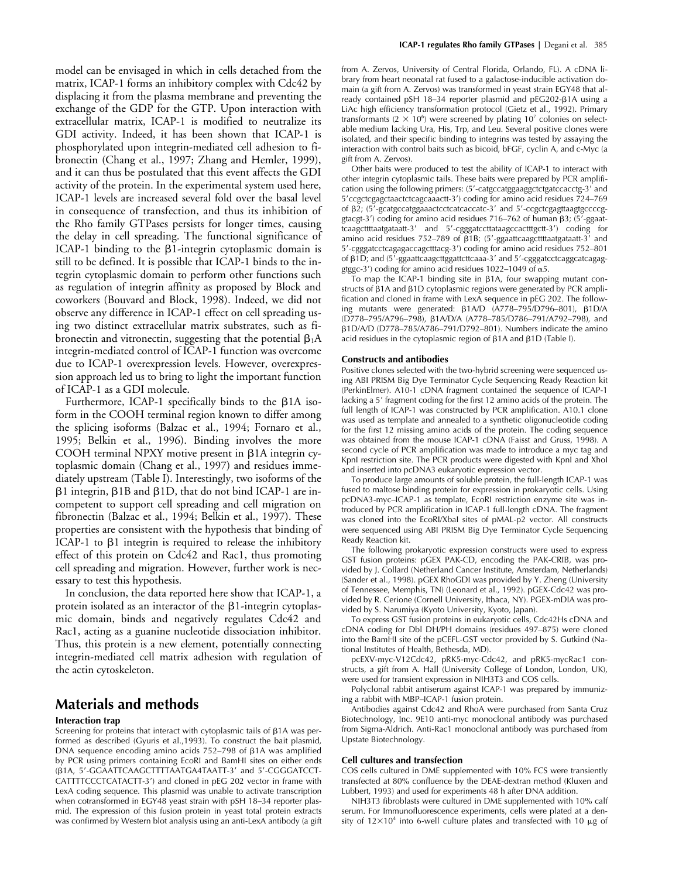model can be envisaged in which in cells detached from the matrix, ICAP-1 forms an inhibitory complex with Cdc42 by displacing it from the plasma membrane and preventing the exchange of the GDP for the GTP. Upon interaction with extracellular matrix, ICAP-1 is modified to neutralize its GDI activity. Indeed, it has been shown that ICAP-1 is phosphorylated upon integrin-mediated cell adhesion to fibronectin (Chang et al., 1997; Zhang and Hemler, 1999), and it can thus be postulated that this event affects the GDI activity of the protein. In the experimental system used here, ICAP-1 levels are increased several fold over the basal level in consequence of transfection, and thus its inhibition of the Rho family GTPases persists for longer times, causing the delay in cell spreading. The functional significance of ICAP-1 binding to the  $\beta$ 1-integrin cytoplasmic domain is still to be defined. It is possible that ICAP-1 binds to the integrin cytoplasmic domain to perform other functions such as regulation of integrin affinity as proposed by Block and coworkers (Bouvard and Block, 1998). Indeed, we did not observe any difference in ICAP-1 effect on cell spreading using two distinct extracellular matrix substrates, such as fibronectin and vitronectin, suggesting that the potential  $\beta_1 A$ integrin-mediated control of ICAP-1 function was overcome due to ICAP-1 overexpression levels. However, overexpression approach led us to bring to light the important function of ICAP-1 as a GDI molecule.

Furthermore, ICAP-1 specifically binds to the  $\beta$ 1A isoform in the COOH terminal region known to differ among the splicing isoforms (Balzac et al., 1994; Fornaro et al., 1995; Belkin et al., 1996). Binding involves the more COOH terminal NPXY motive present in  $\beta$ 1A integrin cytoplasmic domain (Chang et al., 1997) and residues immediately upstream (Table I). Interestingly, two isoforms of the  $\beta$ 1 integrin,  $\beta$ 1B and  $\beta$ 1D, that do not bind ICAP-1 are incompetent to support cell spreading and cell migration on fibronectin (Balzac et al., 1994; Belkin et al., 1997). These properties are consistent with the hypothesis that binding of ICAP-1 to  $\beta$ 1 integrin is required to release the inhibitory effect of this protein on Cdc42 and Rac1, thus promoting cell spreading and migration. However, further work is necessary to test this hypothesis.

In conclusion, the data reported here show that ICAP-1, a protein isolated as an interactor of the  $\beta$ 1-integrin cytoplasmic domain, binds and negatively regulates Cdc42 and Rac1, acting as a guanine nucleotide dissociation inhibitor. Thus, this protein is a new element, potentially connecting integrin-mediated cell matrix adhesion with regulation of the actin cytoskeleton.

# **Materials and methods**

## **Interaction trap**

Screening for proteins that interact with cytoplasmic tails of  $\beta$ 1A was performed as described (Gyuris et al.,1993). To construct the bait plasmid, DNA sequence encoding amino acids 752–798 of β1A was amplified by PCR using primers containing EcoRI and BamHI sites on either ends (B1A, 5'-GGAATTCAAGCTTTTAATGA4TAATT-3' and 5'-CGGGATCCT-CATTTTCCCTCATACTT-3 ) and cloned in pEG 202 vector in frame with LexA coding sequence. This plasmid was unable to activate transcription when cotransformed in EGY48 yeast strain with pSH 18–34 reporter plasmid. The expression of this fusion protein in yeast total protein extracts was confirmed by Western blot analysis using an anti-LexA antibody (a gift

from A. Zervos, University of Central Florida, Orlando, FL). A cDNA library from heart neonatal rat fused to a galactose-inducible activation domain (a gift from A. Zervos) was transformed in yeast strain EGY48 that already contained pSH 18–34 reporter plasmid and pEG202-B1A using a LiAc high efficiency transformation protocol (Gietz et al., 1992). Primary transformants (2  $\times$  10<sup>6</sup>) were screened by plating 10<sup>7</sup> colonies on selectable medium lacking Ura, His, Trp, and Leu. Several positive clones were isolated, and their specific binding to integrins was tested by assaying the interaction with control baits such as bicoid, bFGF, cyclin A, and c-Myc (a gift from A. Zervos).

Other baits were produced to test the ability of ICAP-1 to interact with other integrin cytoplasmic tails. These baits were prepared by PCR amplification using the following primers: (5 -catgccatggaaggctctgatccacctg-3 and 5 ccgctcgagctaactctcagcaaactt-3 ) coding for amino acid residues 724–769 of β2; (5'-gcatgccatggaaactcctcatcaccatc-3' and 5'-ccgctcgagttaagtgccccggtacgt-3′) coding for amino acid residues 716–762 of human β3; (5′-ggaattcaagcttttaatgataatt-3 and 5 -cgggatccttataagccactttgctt-3 ) coding for amino acid residues 752–789 of  $\beta$ 1B; (5'-ggaattcaagcttttaatgataatt-3' and 5 -cgggatcctcagagaccagctttacg-3 ) coding for amino acid residues 752–801 of β1D; and (5'-ggaattcaagcttggattcttcaaa-3' and 5'-cgggatcctcaggcatcagaggtggc-3') coding for amino acid residues 1022-1049 of  $\alpha$ 5.

To map the ICAP-1 binding site in  $\beta$ 1A, four swapping mutant constructs of  $\beta$ 1A and  $\beta$ 1D cytoplasmic regions were generated by PCR amplification and cloned in frame with LexA sequence in pEG 202. The following mutants were generated: β1A/D (A778–795/D796–801), β1D/A (D778-795/A796-798),  $\beta$ 1A/D/A (A778-785/D786-791/A792-798), and β1D/A/D (D778–785/A786–791/D792–801). Numbers indicate the amino acid residues in the cytoplasmic region of  $\beta$ 1A and  $\beta$ 1D (Table I).

## **Constructs and antibodies**

Positive clones selected with the two-hybrid screening were sequenced using ABI PRISM Big Dye Terminator Cycle Sequencing Ready Reaction kit (PerkinElmer). A10-1 cDNA fragment contained the sequence of ICAP-1 lacking a 5' fragment coding for the first 12 amino acids of the protein. The full length of ICAP-1 was constructed by PCR amplification. A10.1 clone was used as template and annealed to a synthetic oligonucleotide coding for the first 12 missing amino acids of the protein. The coding sequence was obtained from the mouse ICAP-1 cDNA (Faisst and Gruss, 1998). A second cycle of PCR amplification was made to introduce a myc tag and KpnI restriction site. The PCR products were digested with KpnI and XhoI and inserted into pcDNA3 eukaryotic expression vector.

To produce large amounts of soluble protein, the full-length ICAP-1 was fused to maltose binding protein for expression in prokaryotic cells. Using pcDNA3-myc–ICAP-1 as template, EcoRI restriction enzyme site was introduced by PCR amplification in ICAP-1 full-length cDNA. The fragment was cloned into the EcoRI/XbaI sites of pMAL-p2 vector. All constructs were sequenced using ABI PRISM Big Dye Terminator Cycle Sequencing Ready Reaction kit.

The following prokaryotic expression constructs were used to express GST fusion proteins: pGEX PAK-CD, encoding the PAK-CRIB, was provided by J. Collard (Netherland Cancer Institute, Amsterdam, Netherlands) (Sander et al., 1998). pGEX RhoGDI was provided by Y. Zheng (University of Tennessee, Memphis, TN) (Leonard et al., 1992). pGEX-Cdc42 was provided by R. Cerione (Cornell University, Ithaca, NY). PGEX-mDIA was provided by S. Narumiya (Kyoto University, Kyoto, Japan).

To express GST fusion proteins in eukaryotic cells, Cdc42Hs cDNA and cDNA coding for Dbl DH/PH domains (residues 497–875) were cloned into the BamHI site of the pCEFL-GST vector provided by S. Gutkind (National Institutes of Health, Bethesda, MD).

pcEXV-myc-V12Cdc42, pRK5-myc-Cdc42, and pRK5-mycRac1 constructs, a gift from A. Hall (University College of London, London, UK), were used for transient expression in NIH3T3 and COS cells.

Polyclonal rabbit antiserum against ICAP-1 was prepared by immunizing a rabbit with MBP–ICAP-1 fusion protein.

Antibodies against Cdc42 and RhoA were purchased from Santa Cruz Biotechnology, Inc. 9E10 anti-myc monoclonal antibody was purchased from Sigma-Aldrich. Anti-Rac1 monoclonal antibody was purchased from Upstate Biotechnology.

## **Cell cultures and transfection**

COS cells cultured in DME supplemented with 10% FCS were transiently transfected at 80% confluence by the DEAE-dextran method (Kluxen and Lubbert, 1993) and used for experiments 48 h after DNA addition.

NIH3T3 fibroblasts were cultured in DME supplemented with 10% calf serum. For Immunofluorescence experiments, cells were plated at a density of  $12\times10^4$  into 6-well culture plates and transfected with 10  $\mu$ g of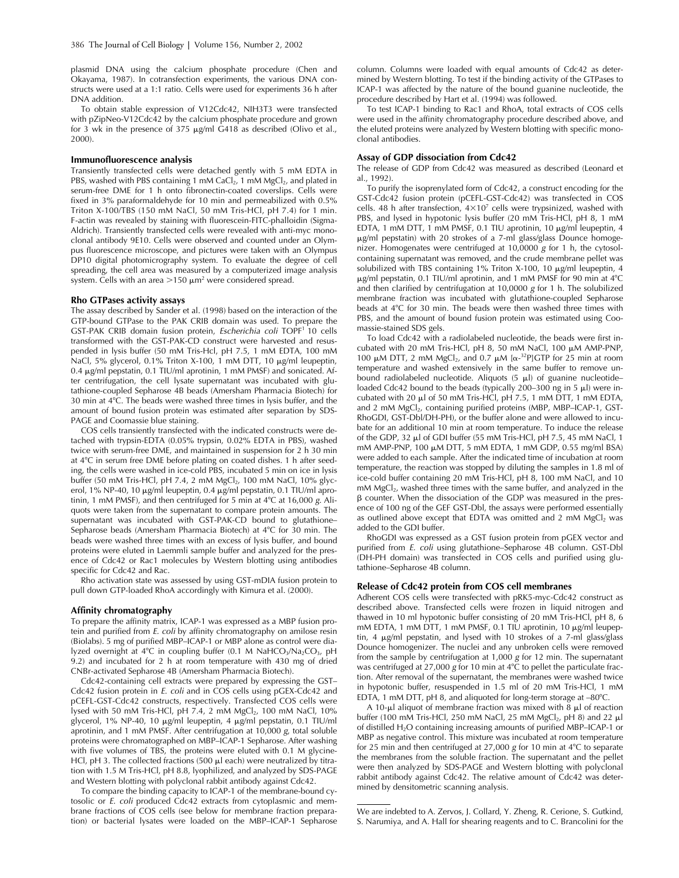plasmid DNA using the calcium phosphate procedure (Chen and Okayama, 1987). In cotransfection experiments, the various DNA constructs were used at a 1:1 ratio. Cells were used for experiments 36 h after DNA addition.

To obtain stable expression of V12Cdc42, NIH3T3 were transfected with pZipNeo-V12Cdc42 by the calcium phosphate procedure and grown for 3 wk in the presence of 375  $\mu$ g/ml G418 as described (Olivo et al., 2000).

#### **Immunofluorescence analysis**

Transiently transfected cells were detached gently with 5 mM EDTA in PBS, washed with PBS containing 1 mM CaCl<sub>2</sub>, 1 mM MgCl<sub>2</sub>, and plated in serum-free DME for 1 h onto fibronectin-coated coverslips. Cells were fixed in 3% paraformaldehyde for 10 min and permeabilized with 0.5% Triton X-100/TBS (150 mM NaCl, 50 mM Tris-HCl, pH 7.4) for 1 min. F-actin was revealed by staining with fluorescein-FITC-phalloidin (Sigma-Aldrich). Transiently transfected cells were revealed with anti-myc monoclonal antibody 9E10. Cells were observed and counted under an Olympus fluorescence microscope, and pictures were taken with an Olympus DP10 digital photomicrography system. To evaluate the degree of cell spreading, the cell area was measured by a computerized image analysis system. Cells with an area  $>$ 150  $\mu$ m $^2$  were considered spread.

## **Rho GTPases activity assays**

The assay described by Sander et al. (1998) based on the interaction of the GTP-bound GTPase to the PAK CRIB domain was used. To prepare the GST-PAK CRIB domain fusion protein, *Escherichia coli* TOPF1 10 cells transformed with the GST-PAK-CD construct were harvested and resuspended in lysis buffer (50 mM Tris-Hcl, pH 7.5, 1 mM EDTA, 100 mM NaCl, 5% glycerol, 0.1% Triton X-100, 1 mM DTT, 10 µg/ml leupeptin, 0.4  $\mu$ g/ml pepstatin, 0.1 TIU/ml aprotinin, 1 mM PMSF) and sonicated. After centrifugation, the cell lysate supernatant was incubated with glutathione-coupled Sepharose 4B beads (Amersham Pharmacia Biotech) for 30 min at 4C. The beads were washed three times in lysis buffer, and the amount of bound fusion protein was estimated after separation by SDS-PAGE and Coomassie blue staining.

COS cells transiently transfected with the indicated constructs were detached with trypsin-EDTA (0.05% trypsin, 0.02% EDTA in PBS), washed twice with serum-free DME, and maintained in suspension for 2 h 30 min at 4°C in serum free DME before plating on coated dishes. 1 h after seeding, the cells were washed in ice-cold PBS, incubated 5 min on ice in lysis buffer (50 mM Tris-HCl, pH 7.4, 2 mM MgCl<sub>2</sub>, 100 mM NaCl, 10% glycerol, 1% NP-40, 10  $\mu$ g/ml leupeptin, 0.4  $\mu$ g/ml pepstatin, 0.1 TIU/ml aprotinin, 1 mM PMSF), and then centrifuged for 5 min at 4°C at 16,000 *g*. Aliquots were taken from the supernatant to compare protein amounts. The supernatant was incubated with GST-PAK-CD bound to glutathione– Sepharose beads (Amersham Pharmacia Biotech) at  $4^{\circ}$ C for  $30$  min. The beads were washed three times with an excess of lysis buffer, and bound proteins were eluted in Laemmli sample buffer and analyzed for the presence of Cdc42 or Rac1 molecules by Western blotting using antibodies specific for Cdc42 and Rac.

Rho activation state was assessed by using GST-mDIA fusion protein to pull down GTP-loaded RhoA accordingly with Kimura et al. (2000).

## **Affinity chromatography**

To prepare the affinity matrix, ICAP-1 was expressed as a MBP fusion protein and purified from *E. coli* by affinity chromatography on amilose resin (Biolabs). 5 mg of purified MBP–ICAP-1 or MBP alone as control were dialyzed overnight at 4°C in coupling buffer (0.1 M NaHCO<sub>3</sub>/Na<sub>2</sub>CO<sub>3</sub>, pH 9.2) and incubated for 2 h at room temperature with 430 mg of dried CNBr-activated Sepharose 4B (Amersham Pharmacia Biotech).

Cdc42-containing cell extracts were prepared by expressing the GST– Cdc42 fusion protein in *E. coli* and in COS cells using pGEX-Cdc42 and pCEFL-GST-Cdc42 constructs, respectively. Transfected COS cells were lysed with 50 mM Tris-HCl, pH 7.4, 2 mM MgCl<sub>2</sub>, 100 mM NaCl, 10% glycerol, 1% NP-40, 10  $\mu$ g/ml leupeptin, 4  $\mu$ g/ml pepstatin, 0.1 TIU/ml aprotinin, and 1 mM PMSF. After centrifugation at 10,000 *g*, total soluble proteins were chromatographed on MBP–ICAP-1 Sepharose. After washing with five volumes of TBS, the proteins were eluted with 0.1 M glycine-HCl, pH 3. The collected fractions (500  $\mu$ l each) were neutralized by titration with 1.5 M Tris-HCl, pH 8.8, lyophilized, and analyzed by SDS-PAGE and Western blotting with polyclonal rabbit antibody against Cdc42.

To compare the binding capacity to ICAP-1 of the membrane-bound cytosolic or *E. coli* produced Cdc42 extracts from cytoplasmic and membrane fractions of COS cells (see below for membrane fraction preparation) or bacterial lysates were loaded on the MBP–ICAP-1 Sepharose

column. Columns were loaded with equal amounts of Cdc42 as determined by Western blotting. To test if the binding activity of the GTPases to ICAP-1 was affected by the nature of the bound guanine nucleotide, the procedure described by Hart et al. (1994) was followed.

To test ICAP-1 binding to Rac1 and RhoA, total extracts of COS cells were used in the affinity chromatography procedure described above, and the eluted proteins were analyzed by Western blotting with specific monoclonal antibodies.

## **Assay of GDP dissociation from Cdc42**

The release of GDP from Cdc42 was measured as described (Leonard et al., 1992).

To purify the isoprenylated form of Cdc42, a construct encoding for the GST-Cdc42 fusion protein (pCEFL-GST-Cdc42) was transfected in COS cells. 48 h after transfection,  $4\times10^7$  cells were trypsinized, washed with PBS, and lysed in hypotonic lysis buffer (20 mM Tris-HCl, pH 8, 1 mM EDTA, 1 mM DTT, 1 mM PMSF, 0.1 TIU aprotinin, 10  $\mu$ g/ml leupeptin, 4 g/ml pepstatin) with 20 strokes of a 7-ml glass/glass Dounce homogenizer. Homogenates were centrifuged at 10,0000 *g* for 1 h, the cytosolcontaining supernatant was removed, and the crude membrane pellet was solubilized with TBS containing 1% Triton X-100, 10  $\mu$ g/ml leupeptin, 4  $\mu$ g/ml pepstatin, 0.1 TIU/ml aprotinin, and 1 mM PMSF for 90 min at 4°C and then clarified by centrifugation at 10,0000 *g* for 1 h. The solubilized membrane fraction was incubated with glutathione-coupled Sepharose beads at 4°C for 30 min. The beads were then washed three times with PBS, and the amount of bound fusion protein was estimated using Coomassie-stained SDS gels.

To load Cdc42 with a radiolabeled nucleotide, the beads were first incubated with 20 mM Tris-HCl, pH 8, 50 mM NaCl, 100  $\mu$ M AMP-PNP, 100  $\mu$ M DTT, 2 mM MgCl<sub>2</sub>, and 0.7  $\mu$ M [ $\alpha$ <sup>-32</sup>P]GTP for 25 min at room temperature and washed extensively in the same buffer to remove unbound radiolabeled nucleotide. Aliquots (5  $\mu$ l) of guanine nucleotide– loaded Cdc42 bound to the beads (typically 200–300 ng in 5  $\mu$ l) were incubated with 20  $\mu$ l of 50 mM Tris-HCl, pH 7.5, 1 mM DTT, 1 mM EDTA, and 2 mM MgCl<sub>2</sub>, containing purified proteins (MBP, MBP-ICAP-1, GST-RhoGDI, GST-Dbl/DH-PH), or the buffer alone and were allowed to incubate for an additional 10 min at room temperature. To induce the release of the GDP, 32 µl of GDI buffer (55 mM Tris-HCl, pH 7.5, 45 mM NaCl, 1 mM AMP-PNP, 100  $\mu$ M DTT, 5 mM EDTA, 1 mM GDP, 0.55 mg/ml BSA) were added to each sample. After the indicated time of incubation at room temperature, the reaction was stopped by diluting the samples in 1.8 ml of ice-cold buffer containing 20 mM Tris-HCl, pH 8, 100 mM NaCl, and 10 mM MgCl<sub>2</sub>, washed three times with the same buffer, and analyzed in the - counter. When the dissociation of the GDP was measured in the presence of 100 ng of the GEF GST-Dbl, the assays were performed essentially as outlined above except that EDTA was omitted and 2 mM  $MgCl<sub>2</sub>$  was added to the GDI buffer.

RhoGDI was expressed as a GST fusion protein from pGEX vector and purified from *E. coli* using glutathione–Sepharose 4B column. GST-Dbl (DH-PH domain) was transfected in COS cells and purified using glutathione–Sepharose 4B column.

## **Release of Cdc42 protein from COS cell membranes**

Adherent COS cells were transfected with pRK5-myc-Cdc42 construct as described above. Transfected cells were frozen in liquid nitrogen and thawed in 10 ml hypotonic buffer consisting of 20 mM Tris-HCl, pH 8, 6 mM EDTA, 1 mM DTT, 1 mM PMSF, 0.1 TIU aprotinin, 10 µg/ml leupeptin, 4  $\mu$ g/ml pepstatin, and lysed with 10 strokes of a 7-ml glass/glass Dounce homogenizer. The nuclei and any unbroken cells were removed from the sample by centrifugation at 1,000 *g* for 12 min. The supernatant was centrifuged at 27,000 *g* for 10 min at 4°C to pellet the particulate fraction. After removal of the supernatant, the membranes were washed twice in hypotonic buffer, resuspended in 1.5 ml of 20 mM Tris-HCl, 1 mM EDTA, 1 mM DTT, pH 8, and aliquoted for long-term storage at  $-80^{\circ}$ C.

A 10- $\mu$ l aliquot of membrane fraction was mixed with 8  $\mu$ l of reaction buffer (100 mM Tris-HCl, 250 mM NaCl, 25 mM MgCl<sub>2</sub>, pH 8) and 22  $\mu$ l of distilled  $H_2O$  containing increasing amounts of purified MBP–ICAP-1 or MBP as negative control. This mixture was incubated at room temperature for 25 min and then centrifuged at 27,000 g for 10 min at 4°C to separate the membranes from the soluble fraction. The supernatant and the pellet were then analyzed by SDS-PAGE and Western blotting with polyclonal rabbit antibody against Cdc42. The relative amount of Cdc42 was determined by densitometric scanning analysis.

We are indebted to A. Zervos, J. Collard, Y. Zheng, R. Cerione, S. Gutkind, S. Narumiya, and A. Hall for shearing reagents and to C. Brancolini for the